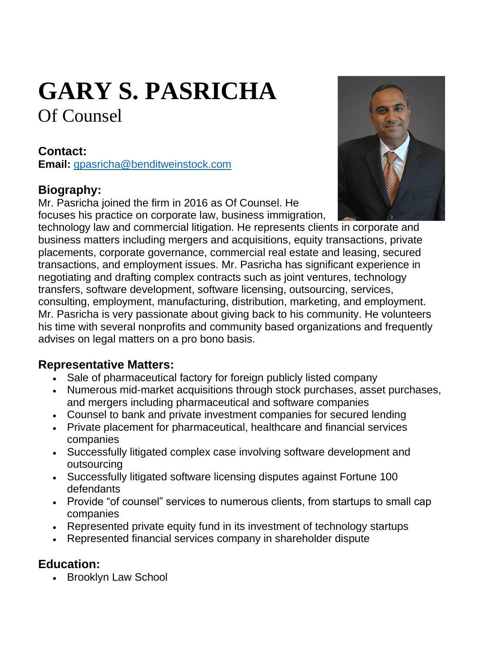# **GARY S. PASRICHA** Of Counsel

#### **Contact:**

**Email:** [gpasricha@benditweinstock.com](https://www.benditweinstock.com/gpasricha@benditweinstock.com)

## **Biography:**

Mr. Pasricha joined the firm in 2016 as Of Counsel. He focuses his practice on corporate law, business immigration,



technology law and commercial litigation. He represents clients in corporate and business matters including mergers and acquisitions, equity transactions, private placements, corporate governance, commercial real estate and leasing, secured transactions, and employment issues. Mr. Pasricha has significant experience in negotiating and drafting complex contracts such as joint ventures, technology transfers, software development, software licensing, outsourcing, services, consulting, employment, manufacturing, distribution, marketing, and employment. Mr. Pasricha is very passionate about giving back to his community. He volunteers his time with several nonprofits and community based organizations and frequently advises on legal matters on a pro bono basis.

#### **Representative Matters:**

- Sale of pharmaceutical factory for foreign publicly listed company
- Numerous mid-market acquisitions through stock purchases, asset purchases, and mergers including pharmaceutical and software companies
- Counsel to bank and private investment companies for secured lending
- Private placement for pharmaceutical, healthcare and financial services companies
- Successfully litigated complex case involving software development and outsourcing
- Successfully litigated software licensing disputes against Fortune 100 defendants
- Provide "of counsel" services to numerous clients, from startups to small cap companies
- Represented private equity fund in its investment of technology startups
- Represented financial services company in shareholder dispute

#### **Education:**

• Brooklyn Law School